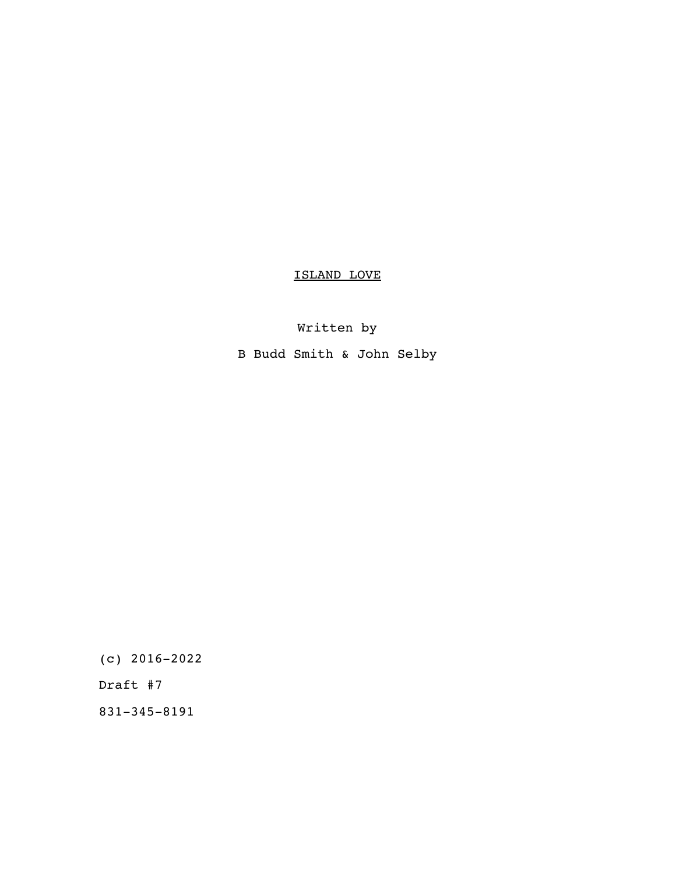# ISLAND LOVE

# Written by

B Budd Smith & John Selby

(c) 2016-2022

Draft #7

831-345-8191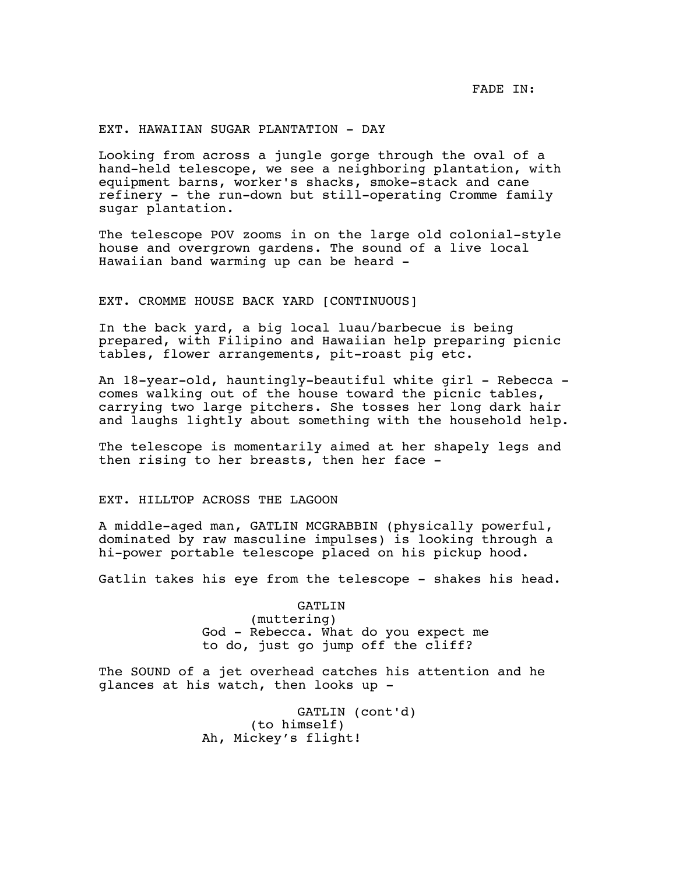FADE IN:

# EXT. HAWAIIAN SUGAR PLANTATION - DAY

Looking from across a jungle gorge through the oval of a hand-held telescope, we see a neighboring plantation, with equipment barns, worker's shacks, smoke-stack and cane refinery - the run-down but still-operating Cromme family sugar plantation.

The telescope POV zooms in on the large old colonial-style house and overgrown gardens. The sound of a live local Hawaiian band warming up can be heard -

# EXT. CROMME HOUSE BACK YARD [CONTINUOUS]

In the back yard, a big local luau/barbecue is being prepared, with Filipino and Hawaiian help preparing picnic tables, flower arrangements, pit-roast pig etc.

An 18-year-old, hauntingly-beautiful white girl - Rebecca comes walking out of the house toward the picnic tables, carrying two large pitchers. She tosses her long dark hair and laughs lightly about something with the household help.

The telescope is momentarily aimed at her shapely legs and then rising to her breasts, then her face -

# EXT. HILLTOP ACROSS THE LAGOON

A middle-aged man, GATLIN MCGRABBIN (physically powerful, dominated by raw masculine impulses) is looking through a hi-power portable telescope placed on his pickup hood.

Gatlin takes his eye from the telescope - shakes his head.

GATLIN (muttering) God - Rebecca. What do you expect me to do, just go jump off the cliff?

The SOUND of a jet overhead catches his attention and he glances at his watch, then looks up -

> GATLIN (cont'd) (to himself) Ah, Mickey's flight!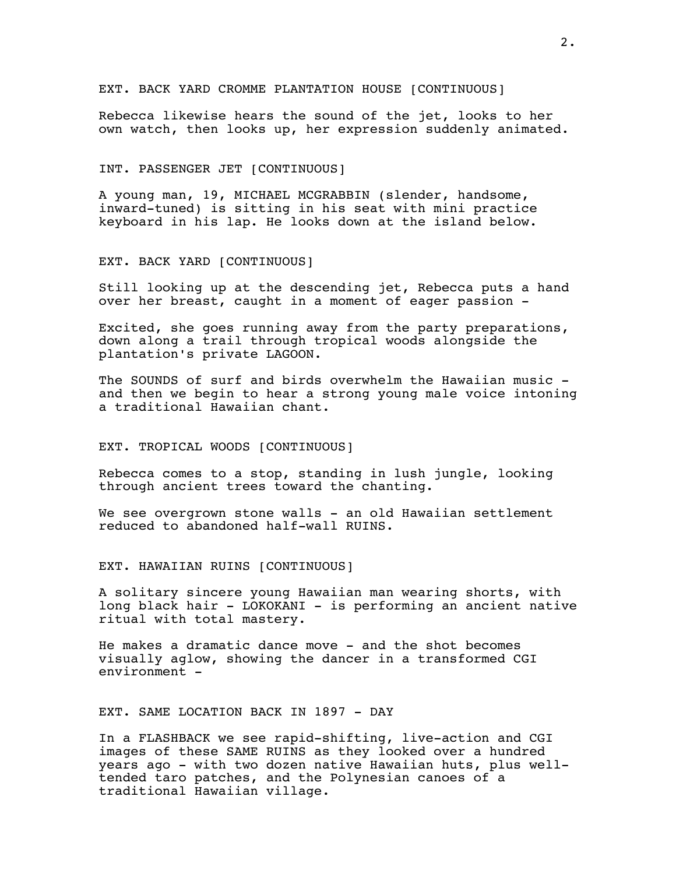EXT. BACK YARD CROMME PLANTATION HOUSE [CONTINUOUS]

Rebecca likewise hears the sound of the jet, looks to her own watch, then looks up, her expression suddenly animated.

### INT. PASSENGER JET [CONTINUOUS]

A young man, 19, MICHAEL MCGRABBIN (slender, handsome, inward-tuned) is sitting in his seat with mini practice keyboard in his lap. He looks down at the island below.

# EXT. BACK YARD [CONTINUOUS]

Still looking up at the descending jet, Rebecca puts a hand over her breast, caught in a moment of eager passion -

Excited, she goes running away from the party preparations, down along a trail through tropical woods alongside the plantation's private LAGOON.

The SOUNDS of surf and birds overwhelm the Hawaiian music and then we begin to hear a strong young male voice intoning a traditional Hawaiian chant.

### EXT. TROPICAL WOODS [CONTINUOUS]

Rebecca comes to a stop, standing in lush jungle, looking through ancient trees toward the chanting.

We see overgrown stone walls - an old Hawaiian settlement reduced to abandoned half-wall RUINS.

EXT. HAWAIIAN RUINS [CONTINUOUS]

A solitary sincere young Hawaiian man wearing shorts, with long black hair - LOKOKANI - is performing an ancient native ritual with total mastery.

He makes a dramatic dance move - and the shot becomes visually aglow, showing the dancer in a transformed CGI environment -

# EXT. SAME LOCATION BACK IN 1897 - DAY

In a FLASHBACK we see rapid-shifting, live-action and CGI images of these SAME RUINS as they looked over a hundred years ago - with two dozen native Hawaiian huts, plus welltended taro patches, and the Polynesian canoes of a traditional Hawaiian village.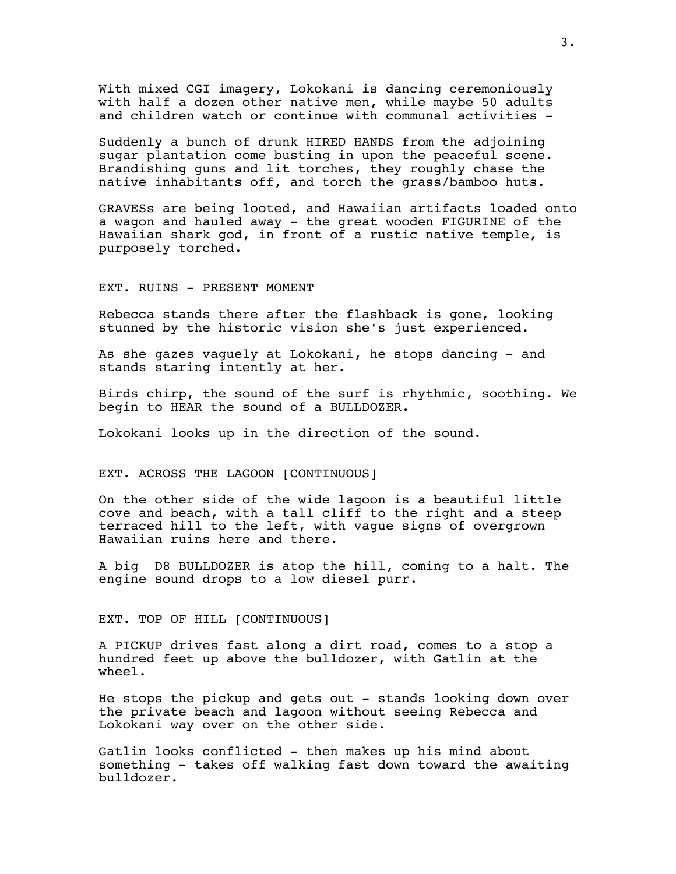With mixed CGI imagery, Lokokani is dancing ceremoniously with half a dozen other native men, while maybe 50 adults and children watch or continue with communal activities -

Suddenly a bunch of drunk HIRED HANDS from the adjoining sugar plantation come busting in upon the peaceful scene. Brandishing guns and lit torches, they roughly chase the native inhabitants off, and torch the grass/bamboo huts.

GRAVESs are being looted, and Hawaiian artifacts loaded onto a wagon and hauled away - the great wooden FIGURINE of the Hawaiian shark god, in front of a rustic native temple, is purposely torched.

EXT. RUINS - PRESENT MOMENT

Rebecca stands there after the flashback is gone, looking stunned by the historic vision she's just experienced.

As she gazes vaguely at Lokokani, he stops dancing - and stands staring intently at her.

Birds chirp, the sound of the surf is rhythmic, soothing. We begin to HEAR the sound of a BULLDOZER.

Lokokani looks up in the direction of the sound.

# EXT. ACROSS THE LAGOON [CONTINUOUS]

On the other side of the wide lagoon is a beautiful little cove and beach, with a tall cliff to the right and a steep terraced hill to the left, with vague signs of overgrown Hawaiian ruins here and there.

A big D8 BULLDOZER is atop the hill, coming to a halt. The engine sound drops to a low diesel purr.

# EXT. TOP OF HILL [CONTINUOUS]

A PICKUP drives fast along a dirt road, comes to a stop a hundred feet up above the bulldozer, with Gatlin at the wheel.

He stops the pickup and gets out - stands looking down over the private beach and lagoon without seeing Rebecca and Lokokani way over on the other side.

Gatlin looks conflicted - then makes up his mind about something - takes off walking fast down toward the awaiting bulldozer.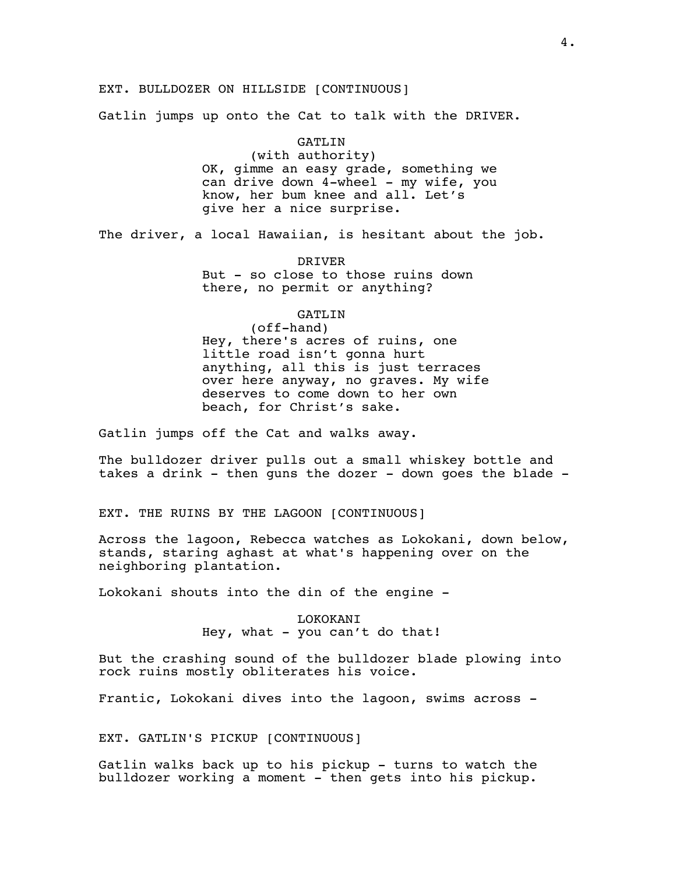# EXT. BULLDOZER ON HILLSIDE [CONTINUOUS]

Gatlin jumps up onto the Cat to talk with the DRIVER.

#### GATLIN

(with authority) OK, gimme an easy grade, something we can drive down 4-wheel - my wife, you know, her bum knee and all. Let's give her a nice surprise.

The driver, a local Hawaiian, is hesitant about the job.

DRIVER But - so close to those ruins down there, no permit or anything?

# GATLIN

(off-hand) Hey, there's acres of ruins, one little road isn't gonna hurt anything, all this is just terraces over here anyway, no graves. My wife deserves to come down to her own beach, for Christ's sake.

Gatlin jumps off the Cat and walks away.

The bulldozer driver pulls out a small whiskey bottle and takes a drink - then guns the dozer - down goes the blade -

EXT. THE RUINS BY THE LAGOON [CONTINUOUS]

Across the lagoon, Rebecca watches as Lokokani, down below, stands, staring aghast at what's happening over on the neighboring plantation.

Lokokani shouts into the din of the engine -

# LOKOKANI Hey, what  $-$  you can't do that!

But the crashing sound of the bulldozer blade plowing into rock ruins mostly obliterates his voice.

Frantic, Lokokani dives into the lagoon, swims across -

EXT. GATLIN'S PICKUP [CONTINUOUS]

Gatlin walks back up to his pickup - turns to watch the bulldozer working a moment - then gets into his pickup.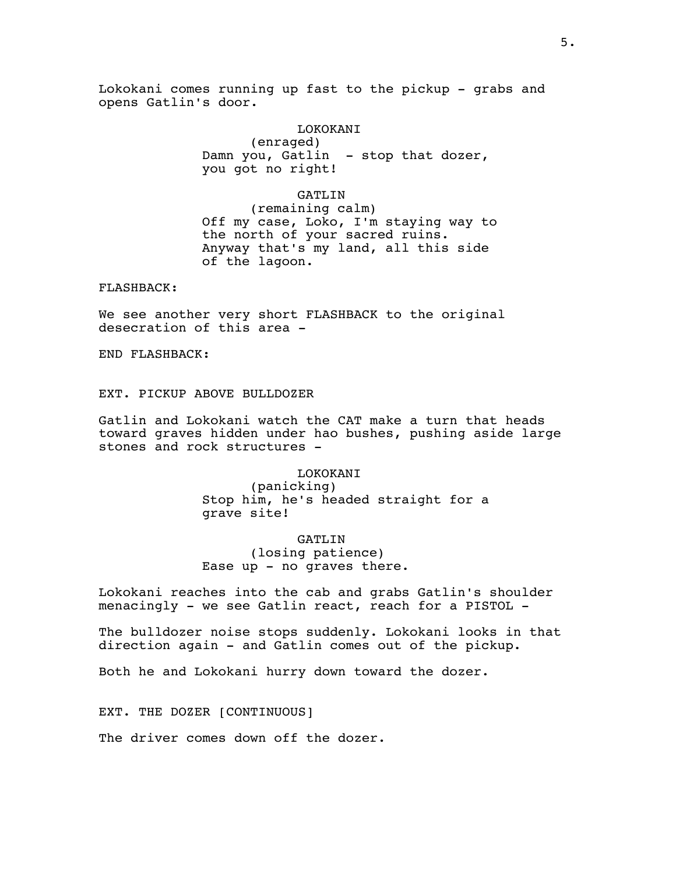Lokokani comes running up fast to the pickup - grabs and opens Gatlin's door.

#### LOKOKANI

(enraged) Damn you, Gatlin - stop that dozer, you got no right!

# GATLIN

(remaining calm) Off my case, Loko, I'm staying way to the north of your sacred ruins. Anyway that's my land, all this side of the lagoon.

FLASHBACK:

We see another very short FLASHBACK to the original desecration of this area -

END FLASHBACK:

EXT. PICKUP ABOVE BULLDOZER

Gatlin and Lokokani watch the CAT make a turn that heads toward graves hidden under hao bushes, pushing aside large stones and rock structures -

> LOKOKANI (panicking) Stop him, he's headed straight for a grave site!

GATLIN (losing patience) Ease up - no graves there.

Lokokani reaches into the cab and grabs Gatlin's shoulder menacingly - we see Gatlin react, reach for a PISTOL -

The bulldozer noise stops suddenly. Lokokani looks in that direction again - and Gatlin comes out of the pickup.

Both he and Lokokani hurry down toward the dozer.

EXT. THE DOZER [CONTINUOUS]

The driver comes down off the dozer.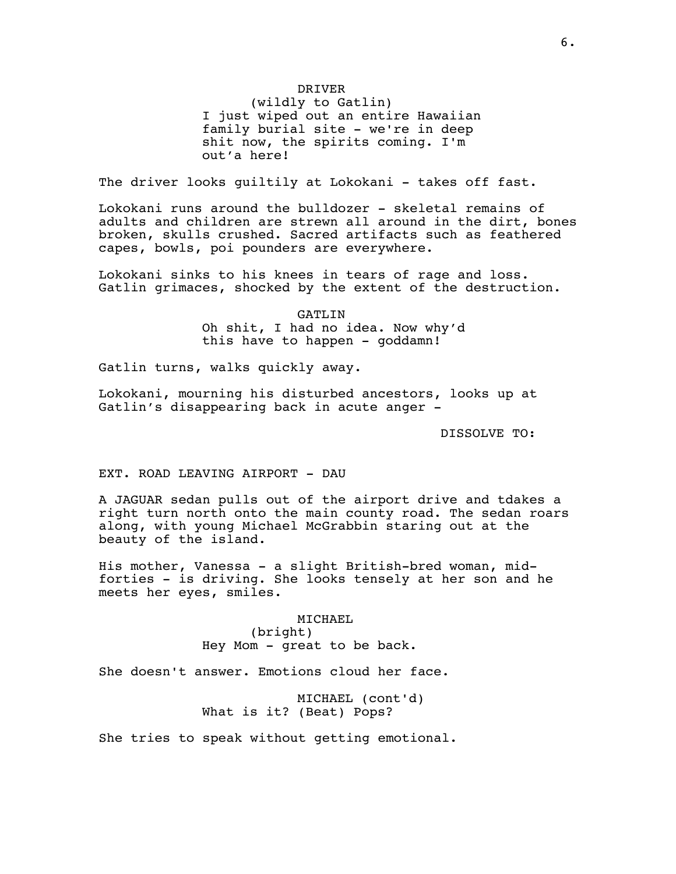# DRIVER

(wildly to Gatlin) I just wiped out an entire Hawaiian family burial site - we're in deep shit now, the spirits coming. I'm out'a here!

The driver looks guiltily at Lokokani - takes off fast.

Lokokani runs around the bulldozer - skeletal remains of adults and children are strewn all around in the dirt, bones broken, skulls crushed. Sacred artifacts such as feathered capes, bowls, poi pounders are everywhere.

Lokokani sinks to his knees in tears of rage and loss. Gatlin grimaces, shocked by the extent of the destruction.

> GATLIN Oh shit, I had no idea. Now why'd this have to happen - goddamn!

Gatlin turns, walks quickly away.

Lokokani, mourning his disturbed ancestors, looks up at Gatlin's disappearing back in acute anger -

DISSOLVE TO:

EXT. ROAD LEAVING AIRPORT - DAU

A JAGUAR sedan pulls out of the airport drive and tdakes a right turn north onto the main county road. The sedan roars along, with young Michael McGrabbin staring out at the beauty of the island.

His mother, Vanessa - a slight British-bred woman, midforties - is driving. She looks tensely at her son and he meets her eyes, smiles.

> MICHAEL (bright) Hey Mom - great to be back.

She doesn't answer. Emotions cloud her face.

MICHAEL (cont'd) What is it? (Beat) Pops?

She tries to speak without getting emotional.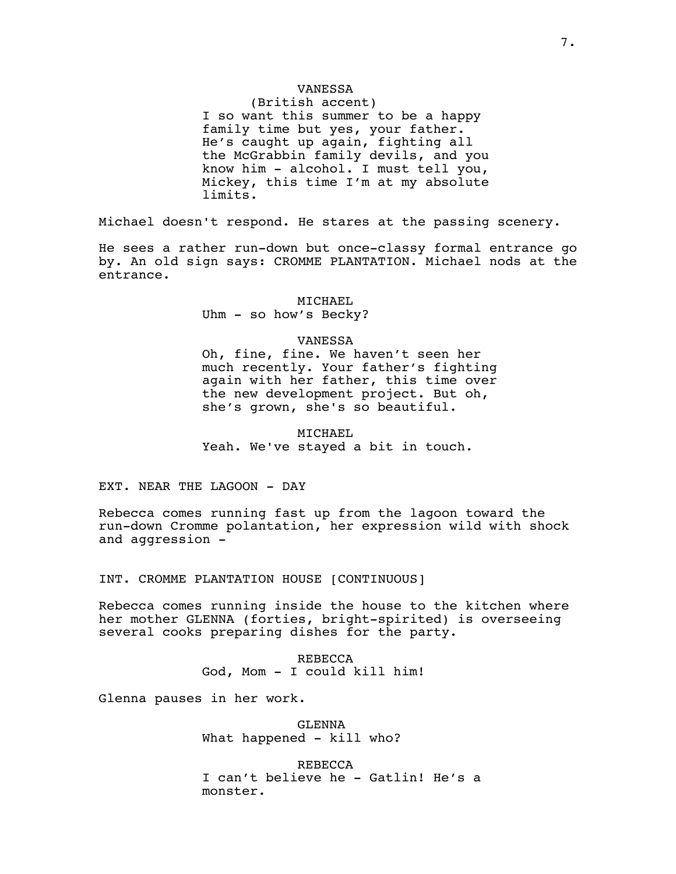# VANESSA

(British accent) I so want this summer to be a happy family time but yes, your father. He's caught up again, fighting all the McGrabbin family devils, and you know him - alcohol. I must tell you, Mickey, this time I'm at my absolute limits.

Michael doesn't respond. He stares at the passing scenery.

He sees a rather run-down but once-classy formal entrance go by. An old sign says: CROMME PLANTATION. Michael nods at the entrance.

#### MICHAEL

Uhm - so how's Becky?

#### VANESSA

Oh, fine, fine. We haven't seen her much recently. Your father's fighting again with her father, this time over the new development project. But oh, she's grown, she's so beautiful.

MICHAEL Yeah. We've stayed a bit in touch.

EXT. NEAR THE LAGOON - DAY

Rebecca comes running fast up from the lagoon toward the run-down Cromme polantation, her expression wild with shock and aggression -

INT. CROMME PLANTATION HOUSE [CONTINUOUS]

Rebecca comes running inside the house to the kitchen where her mother GLENNA (forties, bright-spirited) is overseeing several cooks preparing dishes for the party.

> REBECCA God, Mom - I could kill him!

Glenna pauses in her work.

GLENNA What happened - kill who?

REBECCA I can't believe he - Gatlin! He's a monster.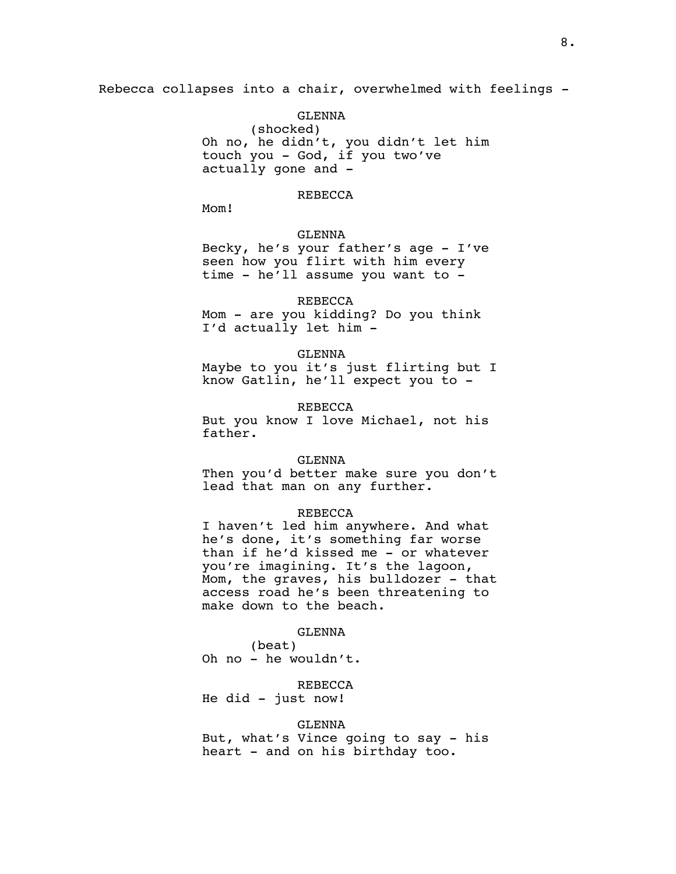Rebecca collapses into a chair, overwhelmed with feelings -

GLENNA (shocked) Oh no, he didn't, you didn't let him touch you - God, if you two've actually gone and -

# REBECCA

Mom!

GLENNA

Becky, he's your father's age - I've seen how you flirt with him every time - he'll assume you want to -

#### REBECCA

Mom - are you kidding? Do you think I'd actually let him -

#### GLENNA

Maybe to you it's just flirting but I know Gatlin, he'll expect you to -

REBECCA

But you know I love Michael, not his father.

### GLENNA

Then you'd better make sure you don't lead that man on any further.

### REBECCA

I haven't led him anywhere. And what he's done, it's something far worse than if he'd kissed me - or whatever you're imagining. It's the lagoon, Mom, the graves, his bulldozer - that access road he's been threatening to make down to the beach.

#### GLENNA

(beat) Oh no - he wouldn't.

# REBECCA

He did - just now!

#### GLENNA

But, what's Vince going to say - his heart - and on his birthday too.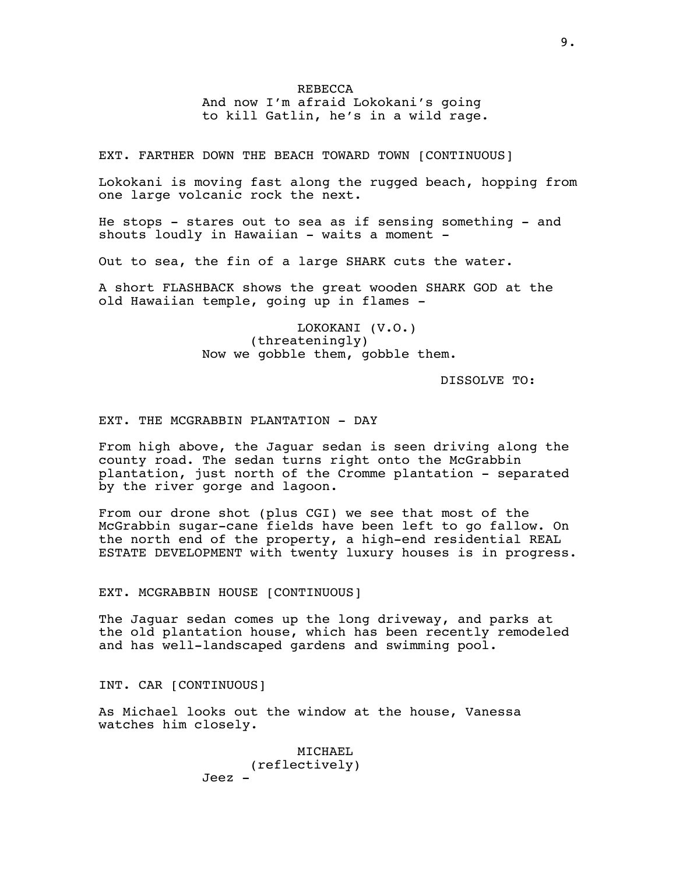# REBECCA And now I'm afraid Lokokani's going to kill Gatlin, he's in a wild rage.

EXT. FARTHER DOWN THE BEACH TOWARD TOWN [CONTINUOUS]

Lokokani is moving fast along the rugged beach, hopping from one large volcanic rock the next.

He stops - stares out to sea as if sensing something - and shouts loudly in Hawaiian - waits a moment -

Out to sea, the fin of a large SHARK cuts the water.

A short FLASHBACK shows the great wooden SHARK GOD at the old Hawaiian temple, going up in flames -

> LOKOKANI (V.O.) (threateningly) Now we gobble them, gobble them.

> > DISSOLVE TO:

# EXT. THE MCGRABBIN PLANTATION - DAY

From high above, the Jaguar sedan is seen driving along the county road. The sedan turns right onto the McGrabbin plantation, just north of the Cromme plantation - separated by the river gorge and lagoon.

From our drone shot (plus CGI) we see that most of the McGrabbin sugar-cane fields have been left to go fallow. On the north end of the property, a high-end residential REAL ESTATE DEVELOPMENT with twenty luxury houses is in progress.

### EXT. MCGRABBIN HOUSE [CONTINUOUS]

The Jaguar sedan comes up the long driveway, and parks at the old plantation house, which has been recently remodeled and has well-landscaped gardens and swimming pool.

INT. CAR [CONTINUOUS]

As Michael looks out the window at the house, Vanessa watches him closely.

> MICHAEL (reflectively) Jeez -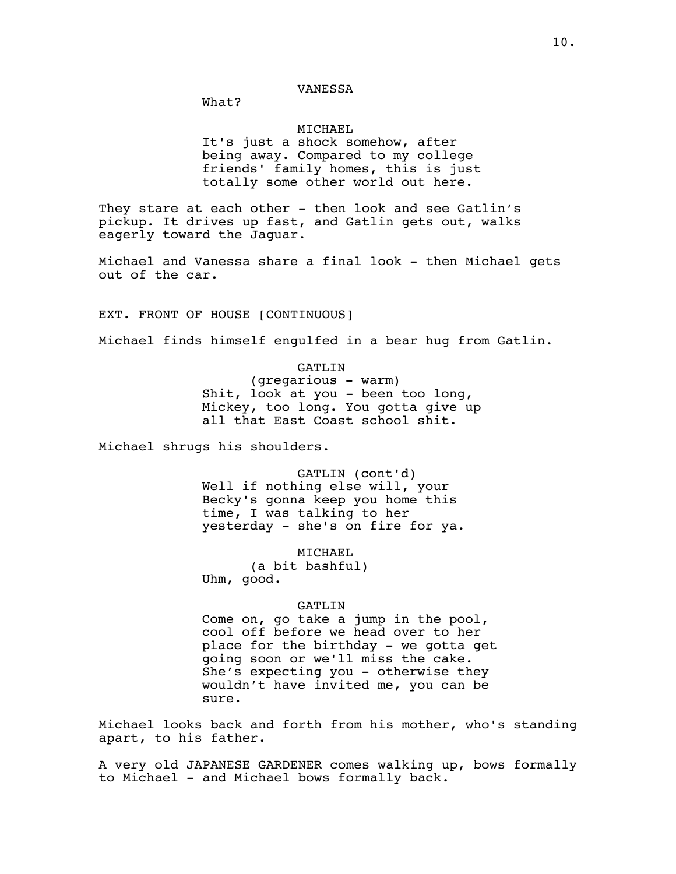What?

# MICHAEL

It's just a shock somehow, after being away. Compared to my college friends' family homes, this is just totally some other world out here.

They stare at each other - then look and see Gatlin's pickup. It drives up fast, and Gatlin gets out, walks eagerly toward the Jaguar.

Michael and Vanessa share a final look - then Michael gets out of the car.

EXT. FRONT OF HOUSE [CONTINUOUS]

Michael finds himself engulfed in a bear hug from Gatlin.

GATLIN

(gregarious - warm) Shit, look at you - been too long, Mickey, too long. You gotta give up all that East Coast school shit.

Michael shrugs his shoulders.

GATLIN (cont'd) Well if nothing else will, your Becky's gonna keep you home this time, I was talking to her yesterday - she's on fire for ya.

MICHAEL (a bit bashful) Uhm, good.

# GATLIN

Come on, go take a jump in the pool, cool off before we head over to her place for the birthday - we gotta get going soon or we'll miss the cake. She's expecting you - otherwise they wouldn't have invited me, you can be sure.

Michael looks back and forth from his mother, who's standing apart, to his father.

A very old JAPANESE GARDENER comes walking up, bows formally to Michael - and Michael bows formally back.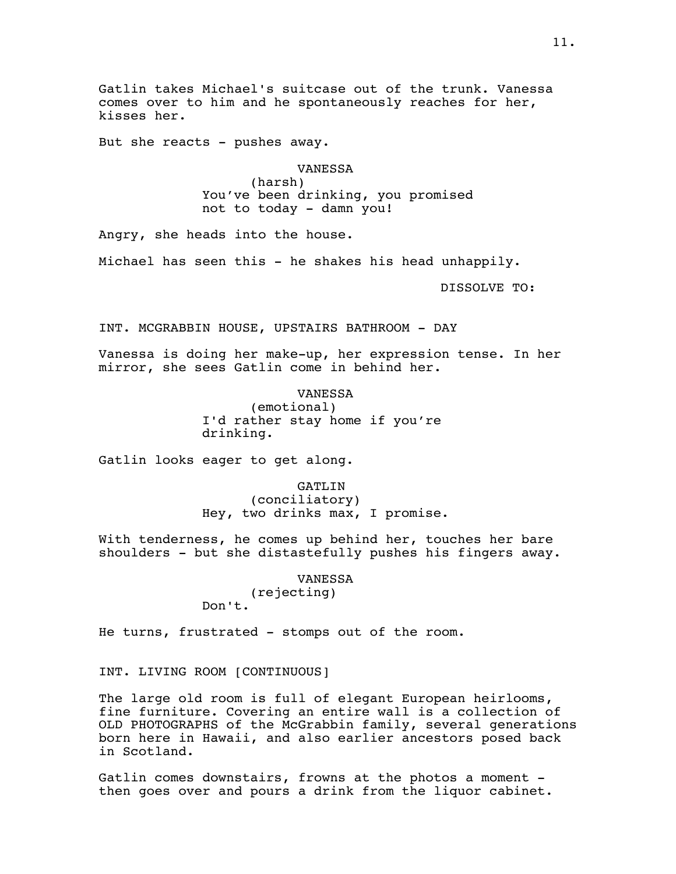Gatlin takes Michael's suitcase out of the trunk. Vanessa comes over to him and he spontaneously reaches for her, kisses her.

But she reacts - pushes away.

VANESSA

(harsh) You've been drinking, you promised not to today - damn you!

Angry, she heads into the house.

Michael has seen this - he shakes his head unhappily.

DISSOLVE TO:

INT. MCGRABBIN HOUSE, UPSTAIRS BATHROOM - DAY

Vanessa is doing her make-up, her expression tense. In her mirror, she sees Gatlin come in behind her.

> VANESSA (emotional) I'd rather stay home if you're drinking.

Gatlin looks eager to get along.

GATLIN (conciliatory) Hey, two drinks max, I promise.

With tenderness, he comes up behind her, touches her bare shoulders - but she distastefully pushes his fingers away.

> VANESSA (rejecting) Don't.

He turns, frustrated - stomps out of the room.

INT. LIVING ROOM [CONTINUOUS]

The large old room is full of elegant European heirlooms, fine furniture. Covering an entire wall is a collection of OLD PHOTOGRAPHS of the McGrabbin family, several generations born here in Hawaii, and also earlier ancestors posed back in Scotland.

Gatlin comes downstairs, frowns at the photos a moment then goes over and pours a drink from the liquor cabinet.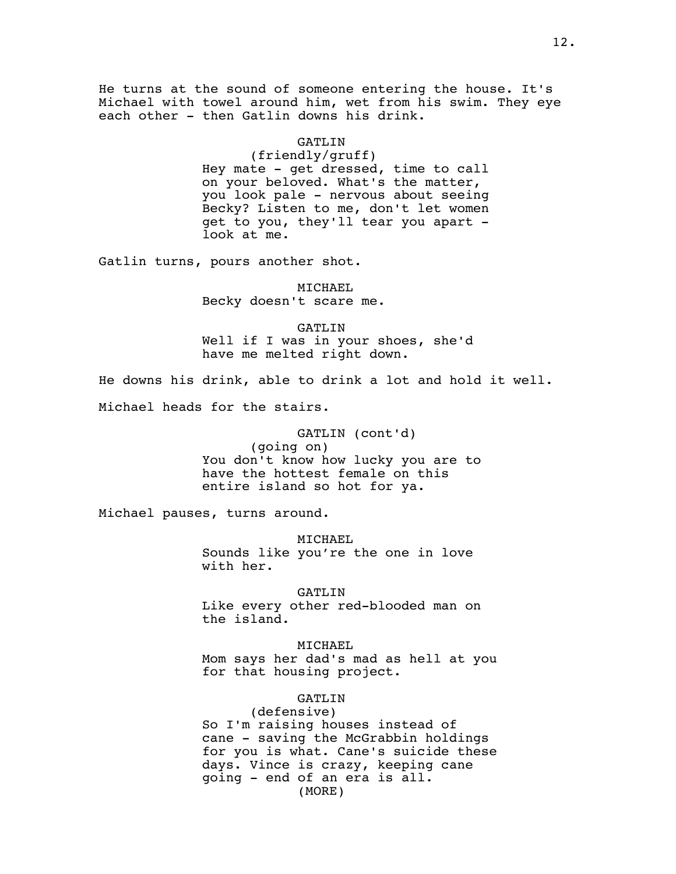He turns at the sound of someone entering the house. It's Michael with towel around him, wet from his swim. They eye each other - then Gatlin downs his drink.

#### GATLIN

(friendly/gruff) Hey mate - get dressed, time to call on your beloved. What's the matter, you look pale - nervous about seeing Becky? Listen to me, don't let women get to you, they'll tear you apart look at me.

Gatlin turns, pours another shot.

MICHAEL Becky doesn't scare me.

GATLIN Well if I was in your shoes, she'd have me melted right down.

He downs his drink, able to drink a lot and hold it well.

Michael heads for the stairs.

# GATLIN (cont'd) (going on) You don't know how lucky you are to have the hottest female on this entire island so hot for ya.

Michael pauses, turns around.

MICHAEL Sounds like you're the one in love with her.

GATLIN

Like every other red-blooded man on the island.

MICHAEL Mom says her dad's mad as hell at you for that housing project.

GATLIN

(defensive) So I'm raising houses instead of cane - saving the McGrabbin holdings for you is what. Cane's suicide these days. Vince is crazy, keeping cane going - end of an era is all. (MORE)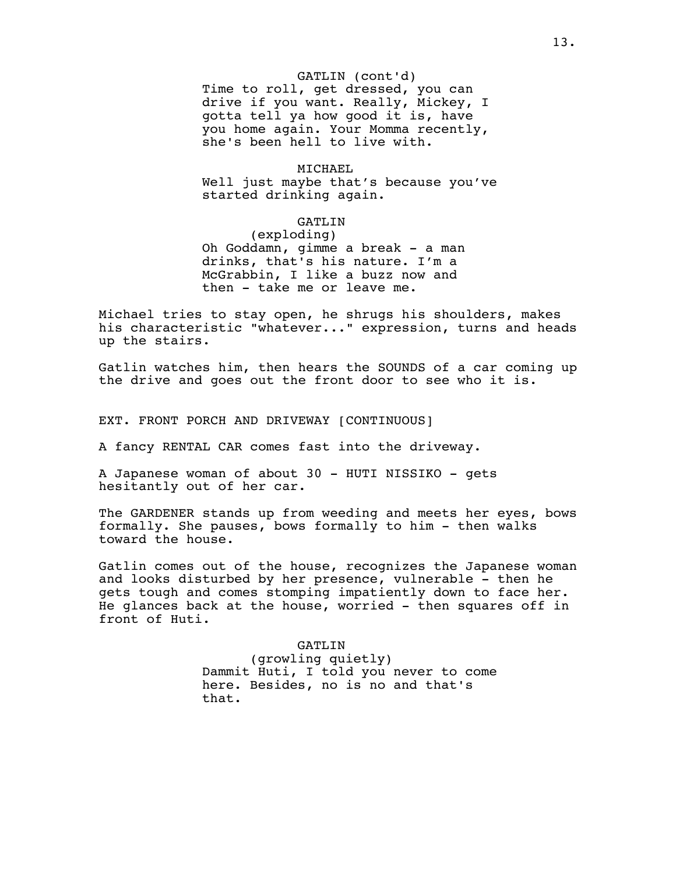# GATLIN (cont'd)

Time to roll, get dressed, you can drive if you want. Really, Mickey, I gotta tell ya how good it is, have you home again. Your Momma recently, she's been hell to live with.

#### MICHAEL

Well just maybe that's because you've started drinking again.

# GATLIN

(exploding) Oh Goddamn, gimme a break - a man drinks, that's his nature. I'm a McGrabbin, I like a buzz now and then - take me or leave me.

Michael tries to stay open, he shrugs his shoulders, makes his characteristic "whatever..." expression, turns and heads up the stairs.

Gatlin watches him, then hears the SOUNDS of a car coming up the drive and goes out the front door to see who it is.

EXT. FRONT PORCH AND DRIVEWAY [CONTINUOUS]

A fancy RENTAL CAR comes fast into the driveway.

A Japanese woman of about 30 - HUTI NISSIKO - gets hesitantly out of her car.

The GARDENER stands up from weeding and meets her eyes, bows formally. She pauses, bows formally to him - then walks toward the house.

Gatlin comes out of the house, recognizes the Japanese woman and looks disturbed by her presence, vulnerable - then he gets tough and comes stomping impatiently down to face her. He glances back at the house, worried - then squares off in front of Huti.

> GATLIN (growling quietly) Dammit Huti, I told you never to come here. Besides, no is no and that's that.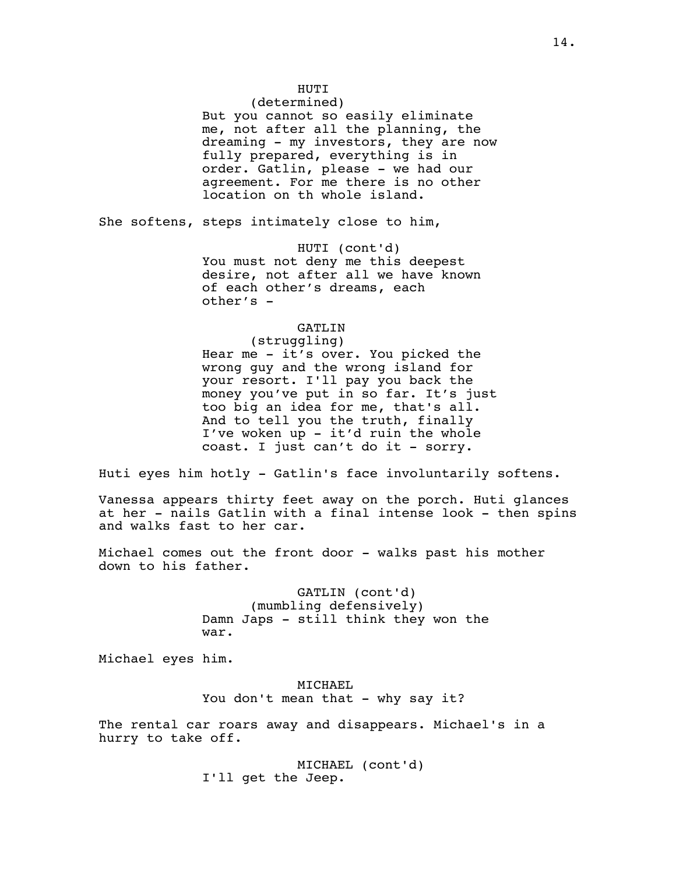# HUTI

(determined) But you cannot so easily eliminate me, not after all the planning, the dreaming - my investors, they are now fully prepared, everything is in order. Gatlin, please - we had our agreement. For me there is no other location on th whole island.

She softens, steps intimately close to him,

HUTI (cont'd) You must not deny me this deepest desire, not after all we have known of each other's dreams, each other's -

# GATLIN

(struggling) Hear me - it's over. You picked the wrong guy and the wrong island for your resort. I'll pay you back the money you've put in so far. It's just too big an idea for me, that's all. And to tell you the truth, finally I've woken up - it'd ruin the whole coast. I just can't do it - sorry.

Huti eyes him hotly - Gatlin's face involuntarily softens.

Vanessa appears thirty feet away on the porch. Huti glances at her - nails Gatlin with a final intense look - then spins and walks fast to her car.

Michael comes out the front door - walks past his mother down to his father.

> GATLIN (cont'd) (mumbling defensively) Damn Japs - still think they won the war.

Michael eyes him.

MICHAEL You don't mean that - why say it?

The rental car roars away and disappears. Michael's in a hurry to take off.

> MICHAEL (cont'd) I'll get the Jeep.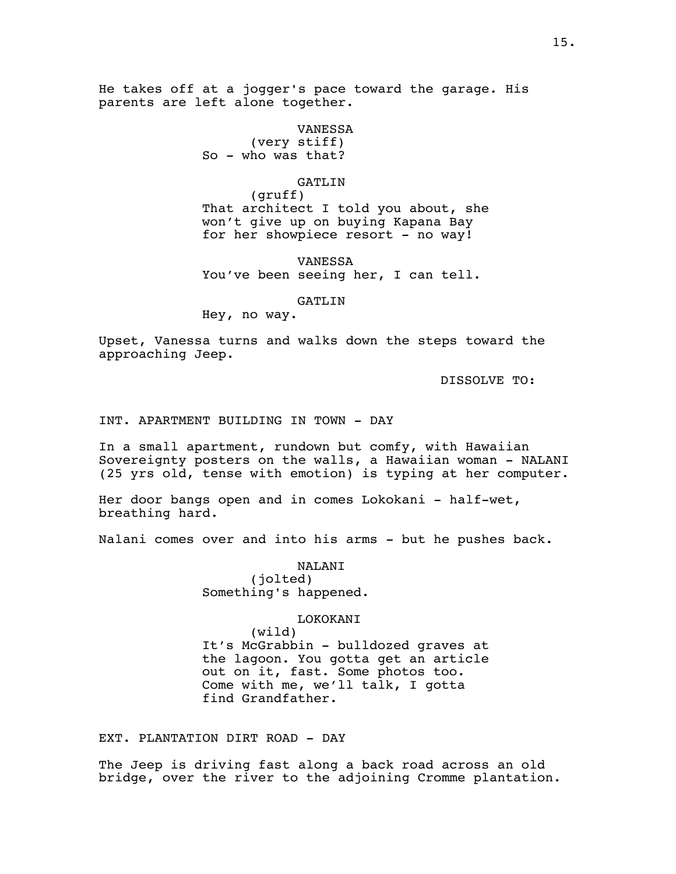He takes off at a jogger's pace toward the garage. His parents are left alone together.

> VANESSA (very stiff) So - who was that?

# GATLIN

(gruff) That architect I told you about, she won't give up on buying Kapana Bay for her showpiece resort - no way!

VANESSA You've been seeing her, I can tell.

# GATLIN

Hey, no way.

Upset, Vanessa turns and walks down the steps toward the approaching Jeep.

DISSOLVE TO:

### INT. APARTMENT BUILDING IN TOWN - DAY

In a small apartment, rundown but comfy, with Hawaiian Sovereignty posters on the walls, a Hawaiian woman - NALANI (25 yrs old, tense with emotion) is typing at her computer.

Her door bangs open and in comes Lokokani - half-wet, breathing hard.

Nalani comes over and into his arms - but he pushes back.

NALANI (jolted) Something's happened.

# LOKOKANI

(wild) It's McGrabbin - bulldozed graves at the lagoon. You gotta get an article out on it, fast. Some photos too. Come with me, we'll talk, I gotta find Grandfather.

EXT. PLANTATION DIRT ROAD - DAY

The Jeep is driving fast along a back road across an old bridge, over the river to the adjoining Cromme plantation.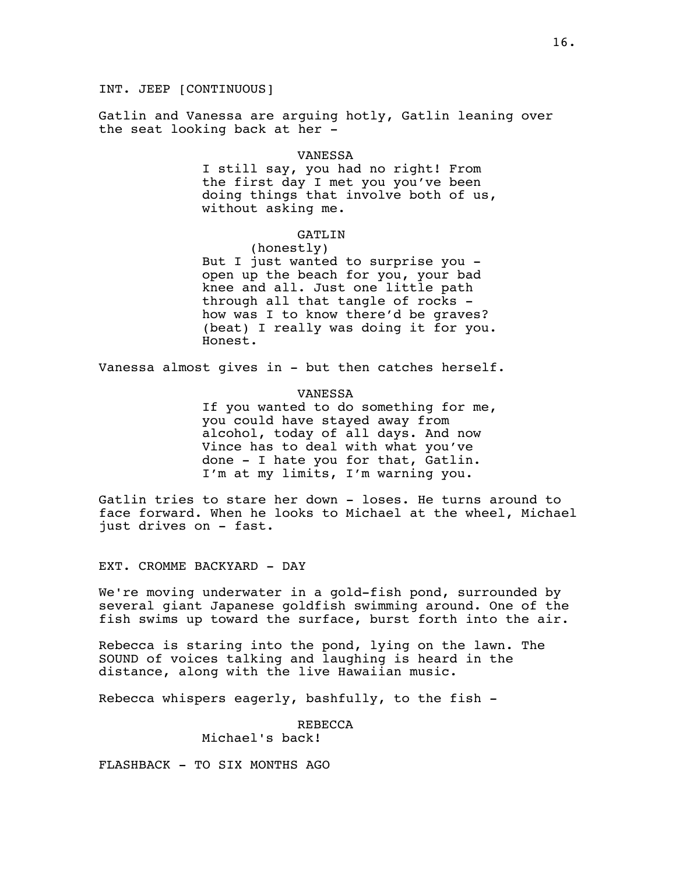INT. JEEP [CONTINUOUS]

Gatlin and Vanessa are arguing hotly, Gatlin leaning over the seat looking back at her -

#### VANESSA

I still say, you had no right! From the first day I met you you've been doing things that involve both of us, without asking me.

#### GATLIN

(honestly)

But I just wanted to surprise you open up the beach for you, your bad knee and all. Just one little path through all that tangle of rocks how was I to know there'd be graves? (beat) I really was doing it for you. Honest.

Vanessa almost gives in - but then catches herself.

VANESSA

If you wanted to do something for me, you could have stayed away from alcohol, today of all days. And now Vince has to deal with what you've done - I hate you for that, Gatlin. I'm at my limits, I'm warning you.

Gatlin tries to stare her down - loses. He turns around to face forward. When he looks to Michael at the wheel, Michael just drives on - fast.

EXT. CROMME BACKYARD - DAY

We're moving underwater in a gold-fish pond, surrounded by several giant Japanese goldfish swimming around. One of the fish swims up toward the surface, burst forth into the air.

Rebecca is staring into the pond, lying on the lawn. The SOUND of voices talking and laughing is heard in the distance, along with the live Hawaiian music.

Rebecca whispers eagerly, bashfully, to the fish -

REBECCA Michael's back!

FLASHBACK - TO SIX MONTHS AGO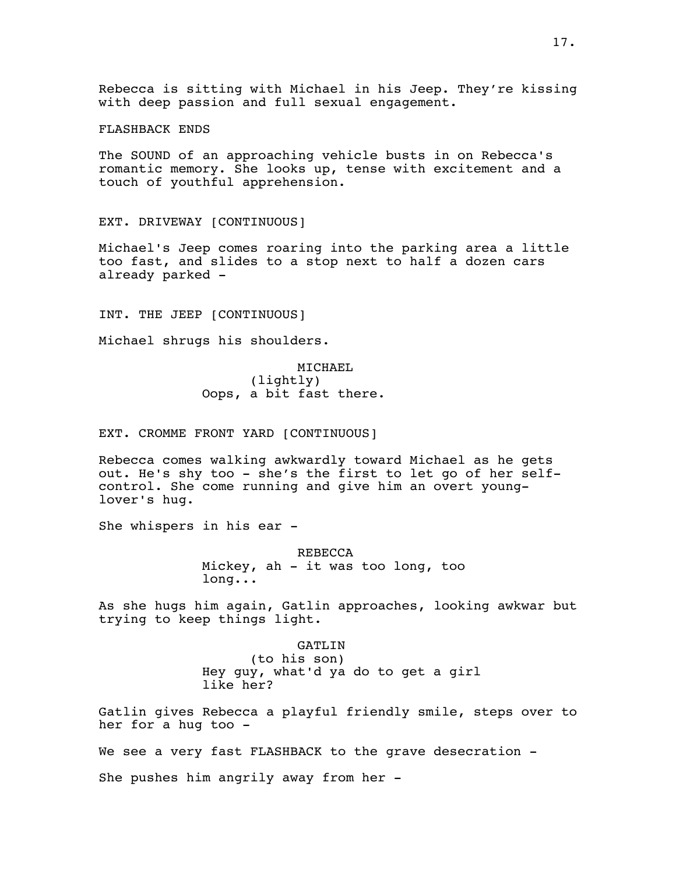Rebecca is sitting with Michael in his Jeep. They're kissing with deep passion and full sexual engagement.

FLASHBACK ENDS

The SOUND of an approaching vehicle busts in on Rebecca's romantic memory. She looks up, tense with excitement and a touch of youthful apprehension.

EXT. DRIVEWAY [CONTINUOUS]

Michael's Jeep comes roaring into the parking area a little too fast, and slides to a stop next to half a dozen cars already parked -

INT. THE JEEP [CONTINUOUS]

Michael shrugs his shoulders.

MICHAEL (lightly) Oops, a bit fast there.

EXT. CROMME FRONT YARD [CONTINUOUS]

Rebecca comes walking awkwardly toward Michael as he gets out. He's shy too - she's the first to let go of her selfcontrol. She come running and give him an overt younglover's hug.

She whispers in his ear -

REBECCA Mickey, ah - it was too long, too long...

As she hugs him again, Gatlin approaches, looking awkwar but trying to keep things light.

> GATLIN (to his son) Hey guy, what'd ya do to get a girl like her?

Gatlin gives Rebecca a playful friendly smile, steps over to her for a hug too -

We see a very fast FLASHBACK to the grave desecration -

She pushes him angrily away from her -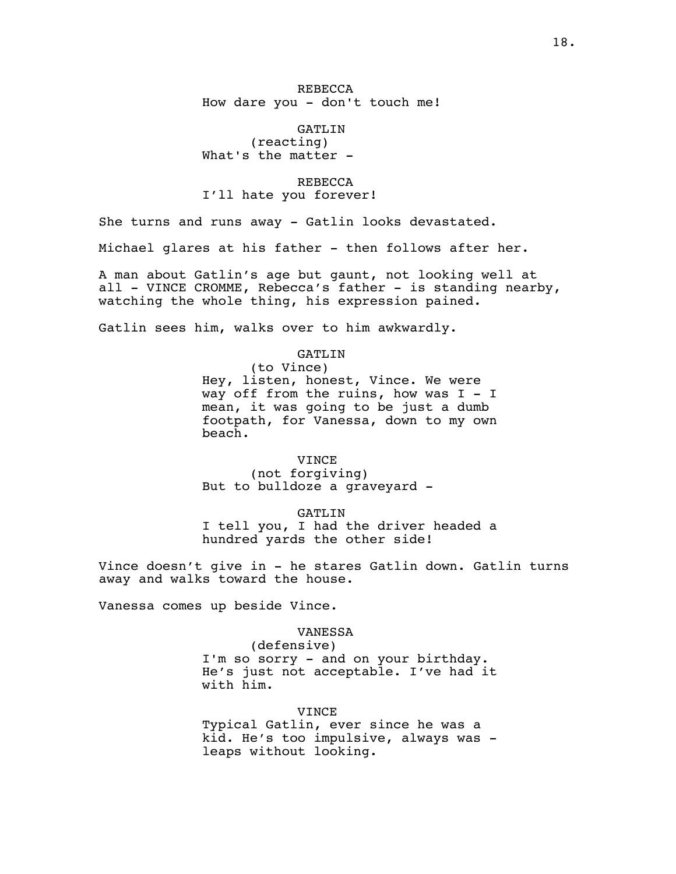REBECCA How dare you - don't touch me!

GATLIN (reacting) What's the matter -

REBECCA I'll hate you forever!

She turns and runs away - Gatlin looks devastated.

Michael glares at his father - then follows after her.

A man about Gatlin's age but gaunt, not looking well at all - VINCE CROMME, Rebecca's father - is standing nearby, watching the whole thing, his expression pained.

Gatlin sees him, walks over to him awkwardly.

GATLIN (to Vince) Hey, listen, honest, Vince. We were way off from the ruins, how was  $I - I$ mean, it was going to be just a dumb footpath, for Vanessa, down to my own beach.

VINCE (not forgiving) But to bulldoze a graveyard -

GATLIN I tell you, I had the driver headed a hundred yards the other side!

Vince doesn't give in - he stares Gatlin down. Gatlin turns away and walks toward the house.

Vanessa comes up beside Vince.

### VANESSA

(defensive) I'm so sorry - and on your birthday. He's just not acceptable. I've had it with him.

VINCE

Typical Gatlin, ever since he was a kid. He's too impulsive, always was leaps without looking.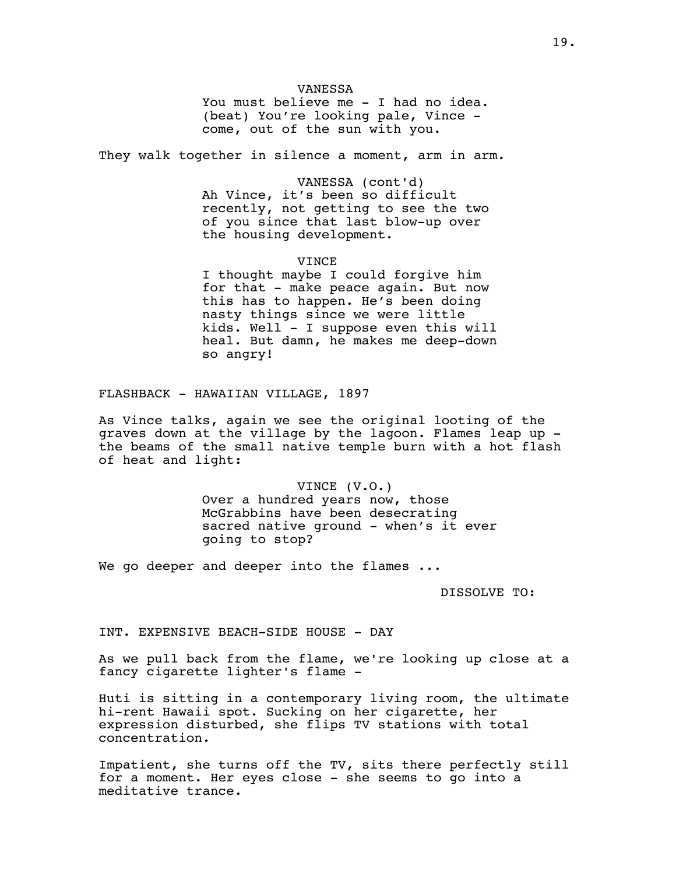## VANESSA

You must believe me - I had no idea. (beat) You're looking pale, Vince come, out of the sun with you.

They walk together in silence a moment, arm in arm.

VANESSA (cont'd) Ah Vince, it's been so difficult recently, not getting to see the two of you since that last blow-up over the housing development.

VINCE

I thought maybe I could forgive him for that - make peace again. But now this has to happen. He's been doing nasty things since we were little kids. Well - I suppose even this will heal. But damn, he makes me deep-down so angry!

FLASHBACK - HAWAIIAN VILLAGE, 1897

As Vince talks, again we see the original looting of the graves down at the village by the lagoon. Flames leap up the beams of the small native temple burn with a hot flash of heat and light:

> VINCE (V.O.) Over a hundred years now, those McGrabbins have been desecrating sacred native ground - when's it ever going to stop?

We go deeper and deeper into the flames ...

DISSOLVE TO:

INT. EXPENSIVE BEACH-SIDE HOUSE - DAY

As we pull back from the flame, we're looking up close at a fancy cigarette lighter's flame -

Huti is sitting in a contemporary living room, the ultimate hi-rent Hawaii spot. Sucking on her cigarette, her expression disturbed, she flips TV stations with total concentration.

Impatient, she turns off the TV, sits there perfectly still for a moment. Her eyes close - she seems to go into a meditative trance.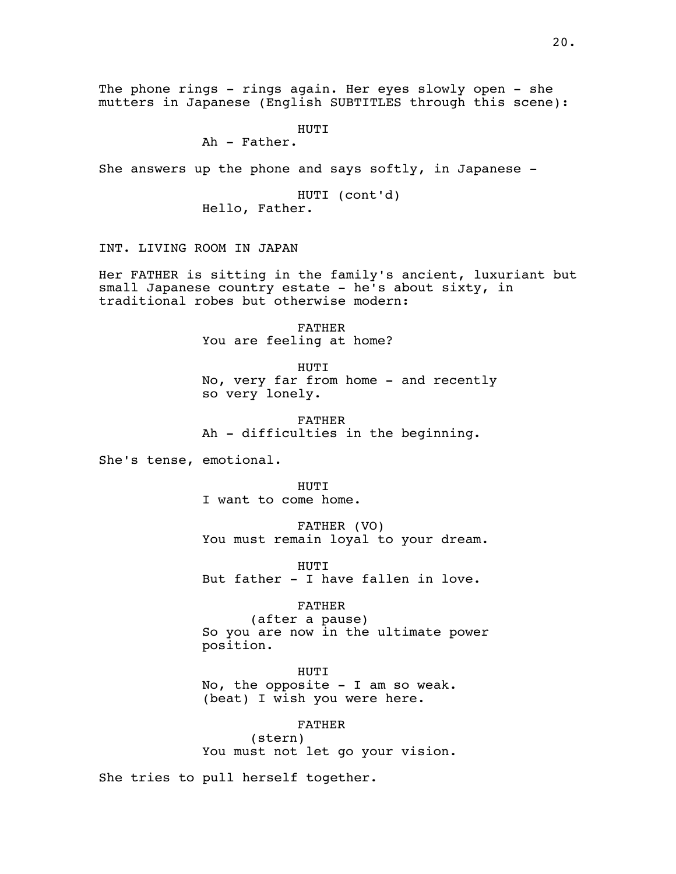The phone rings - rings again. Her eyes slowly open - she mutters in Japanese (English SUBTITLES through this scene):

HUTI

Ah - Father.

She answers up the phone and says softly, in Japanese -

HUTI (cont'd) Hello, Father.

INT. LIVING ROOM IN JAPAN

Her FATHER is sitting in the family's ancient, luxuriant but small Japanese country estate - he's about sixty, in traditional robes but otherwise modern:

> FATHER You are feeling at home?

HUTI No, very far from home - and recently so very lonely.

FATHER Ah - difficulties in the beginning.

She's tense, emotional.

HUTI

I want to come home.

FATHER (VO) You must remain loyal to your dream.

HUTI But father - I have fallen in love.

### FATHER

(after a pause) So you are now in the ultimate power position.

HUTI

No, the opposite  $-$  I am so weak. (beat) I wish you were here.

FATHER (stern) You must not let go your vision.

She tries to pull herself together.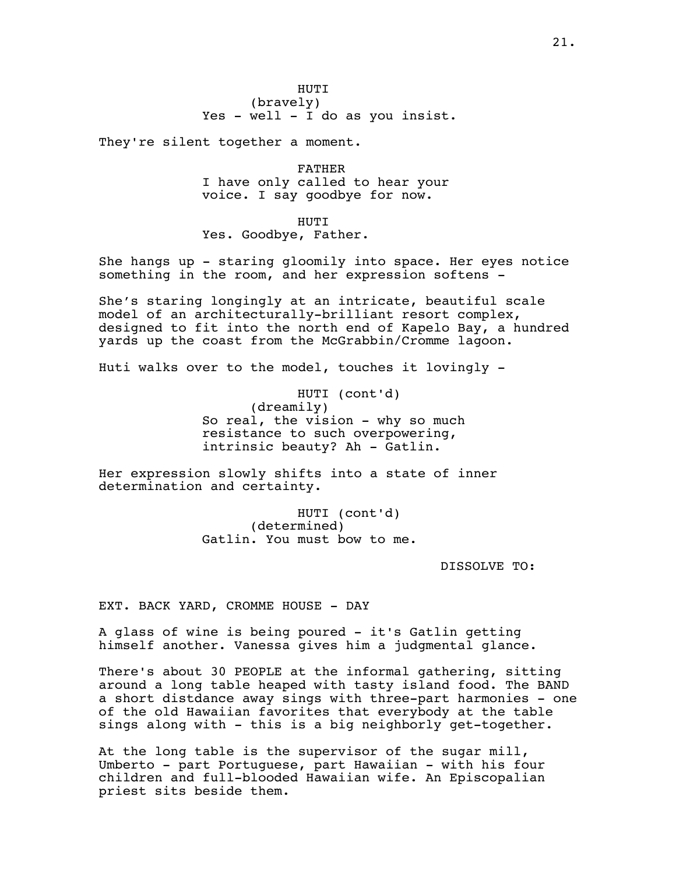(bravely) Yes - well - I do as you insist.

They're silent together a moment.

FATHER I have only called to hear your voice. I say goodbye for now.

HUTI Yes. Goodbye, Father.

She hangs up - staring gloomily into space. Her eyes notice something in the room, and her expression softens -

She's staring longingly at an intricate, beautiful scale model of an architecturally-brilliant resort complex, designed to fit into the north end of Kapelo Bay, a hundred yards up the coast from the McGrabbin/Cromme lagoon.

Huti walks over to the model, touches it lovingly -

HUTI (cont'd) (dreamily) So real, the vision - why so much resistance to such overpowering, intrinsic beauty? Ah - Gatlin.

Her expression slowly shifts into a state of inner determination and certainty.

> HUTI (cont'd) (determined) Gatlin. You must bow to me.

> > DISSOLVE TO:

EXT. BACK YARD, CROMME HOUSE - DAY

A glass of wine is being poured - it's Gatlin getting himself another. Vanessa gives him a judgmental glance.

There's about 30 PEOPLE at the informal gathering, sitting around a long table heaped with tasty island food. The BAND a short distdance away sings with three-part harmonies - one of the old Hawaiian favorites that everybody at the table sings along with - this is a big neighborly get-together.

At the long table is the supervisor of the sugar mill, Umberto - part Portuguese, part Hawaiian - with his four children and full-blooded Hawaiian wife. An Episcopalian priest sits beside them.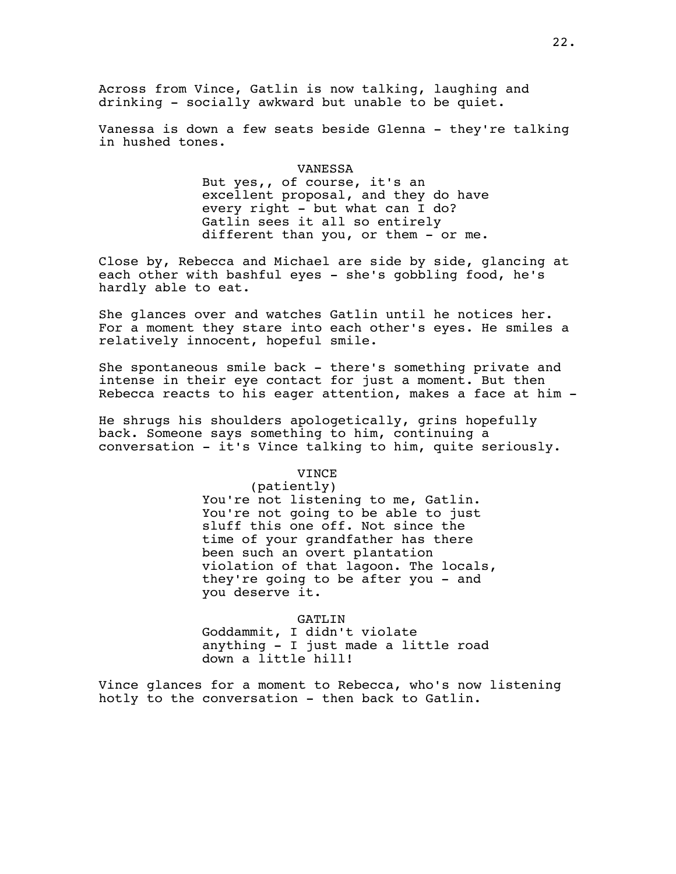Across from Vince, Gatlin is now talking, laughing and drinking - socially awkward but unable to be quiet.

Vanessa is down a few seats beside Glenna - they're talking in hushed tones.

### VANESSA

But yes,, of course, it's an excellent proposal, and they do have every right - but what can I do? Gatlin sees it all so entirely different than you, or them - or me.

Close by, Rebecca and Michael are side by side, glancing at each other with bashful eyes - she's gobbling food, he's hardly able to eat.

She glances over and watches Gatlin until he notices her. For a moment they stare into each other's eyes. He smiles a relatively innocent, hopeful smile.

She spontaneous smile back - there's something private and intense in their eye contact for just a moment. But then Rebecca reacts to his eager attention, makes a face at him -

He shrugs his shoulders apologetically, grins hopefully back. Someone says something to him, continuing a conversation - it's Vince talking to him, quite seriously.

#### VINCE

(patiently) You're not listening to me, Gatlin. You're not going to be able to just sluff this one off. Not since the time of your grandfather has there been such an overt plantation violation of that lagoon. The locals, they're going to be after you - and you deserve it.

GATLIN Goddammit, I didn't violate anything - I just made a little road down a little hill!

Vince glances for a moment to Rebecca, who's now listening hotly to the conversation - then back to Gatlin.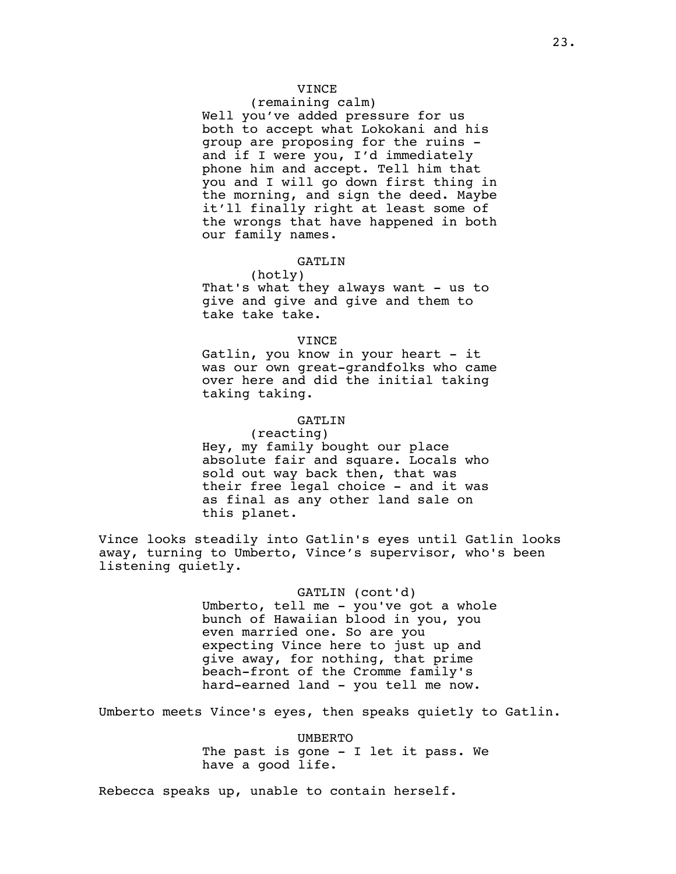# VINCE

# (remaining calm)

Well you've added pressure for us both to accept what Lokokani and his group are proposing for the ruins and if I were you, I'd immediately phone him and accept. Tell him that you and I will go down first thing in the morning, and sign the deed. Maybe it'll finally right at least some of the wrongs that have happened in both our family names.

### GATLIN

(hotly) That's what they always want - us to give and give and give and them to take take take.

#### VINCE

Gatlin, you know in your heart - it was our own great-grandfolks who came over here and did the initial taking taking taking.

### GATLIN

(reacting) Hey, my family bought our place absolute fair and square. Locals who sold out way back then, that was their free legal choice - and it was as final as any other land sale on this planet.

Vince looks steadily into Gatlin's eyes until Gatlin looks away, turning to Umberto, Vince's supervisor, who's been listening quietly.

### GATLIN (cont'd)

Umberto, tell me - you've got a whole bunch of Hawaiian blood in you, you even married one. So are you expecting Vince here to just up and give away, for nothing, that prime beach-front of the Cromme family's hard-earned land - you tell me now.

Umberto meets Vince's eyes, then speaks quietly to Gatlin.

UMBERTO The past is gone - I let it pass. We have a good life.

Rebecca speaks up, unable to contain herself.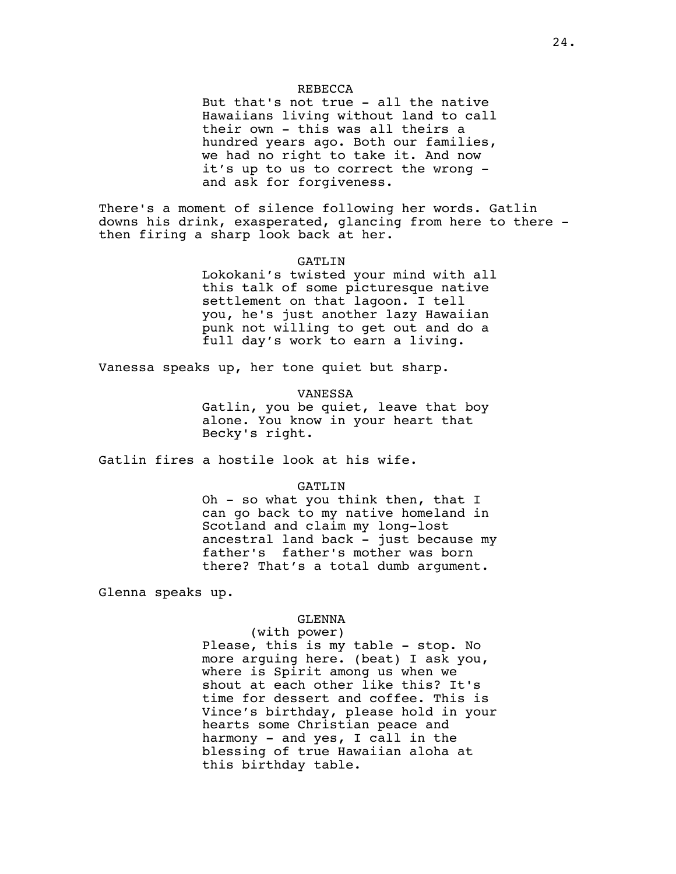## REBECCA

But that's not true - all the native Hawaiians living without land to call their own - this was all theirs a hundred years ago. Both our families, we had no right to take it. And now it's up to us to correct the wrong and ask for forgiveness.

There's a moment of silence following her words. Gatlin downs his drink, exasperated, glancing from here to there then firing a sharp look back at her.

# GATLIN

Lokokani's twisted your mind with all this talk of some picturesque native settlement on that lagoon. I tell you, he's just another lazy Hawaiian punk not willing to get out and do a full day's work to earn a living.

Vanessa speaks up, her tone quiet but sharp.

VANESSA

Gatlin, you be quiet, leave that boy alone. You know in your heart that Becky's right.

Gatlin fires a hostile look at his wife.

# GATLIN

Oh - so what you think then, that I can go back to my native homeland in Scotland and claim my long-lost ancestral land back - just because my father's father's mother was born there? That's a total dumb argument.

Glenna speaks up.

### GLENNA

#### (with power)

Please, this is my table - stop. No more arguing here. (beat) I ask you, where is Spirit among us when we shout at each other like this? It's time for dessert and coffee. This is Vince's birthday, please hold in your hearts some Christian peace and harmony - and yes, I call in the blessing of true Hawaiian aloha at this birthday table.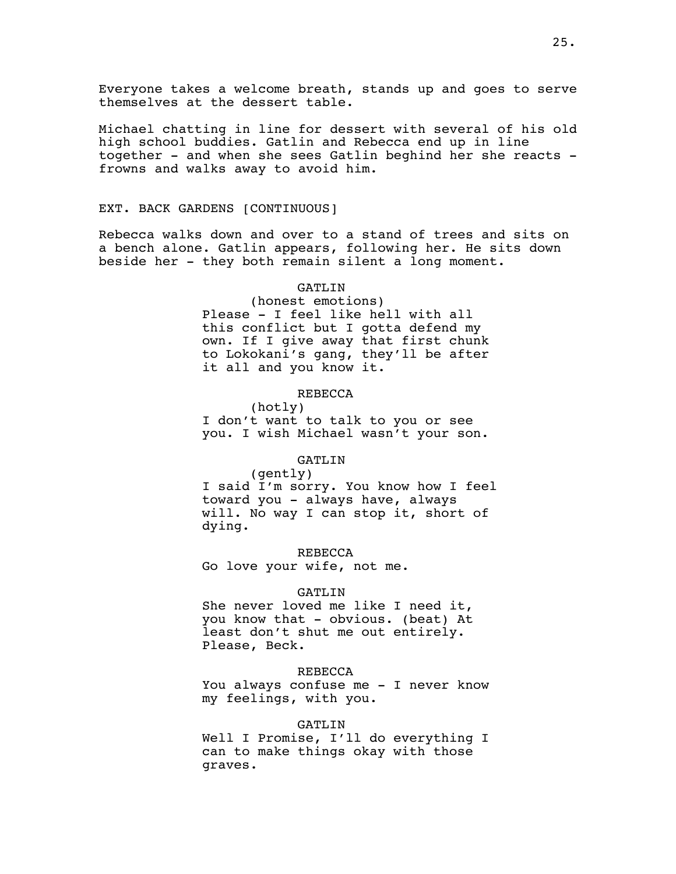Everyone takes a welcome breath, stands up and goes to serve themselves at the dessert table.

Michael chatting in line for dessert with several of his old high school buddies. Gatlin and Rebecca end up in line together - and when she sees Gatlin beghind her she reacts frowns and walks away to avoid him.

# EXT. BACK GARDENS [CONTINUOUS]

Rebecca walks down and over to a stand of trees and sits on a bench alone. Gatlin appears, following her. He sits down beside her - they both remain silent a long moment.

#### GATLIN

(honest emotions) Please - I feel like hell with all this conflict but I gotta defend my own. If I give away that first chunk to Lokokani's gang, they'll be after it all and you know it.

### REBECCA

(hotly) I don't want to talk to you or see you. I wish Michael wasn't your son.

# GATLIN

(gently)

I said I'm sorry. You know how I feel toward you - always have, always will. No way I can stop it, short of dying.

REBECCA Go love your wife, not me.

### GATLIN

She never loved me like I need it, you know that - obvious. (beat) At least don't shut me out entirely. Please, Beck.

#### REBECCA

You always confuse me - I never know my feelings, with you.

#### GATLIN

Well I Promise, I'll do everything I can to make things okay with those graves.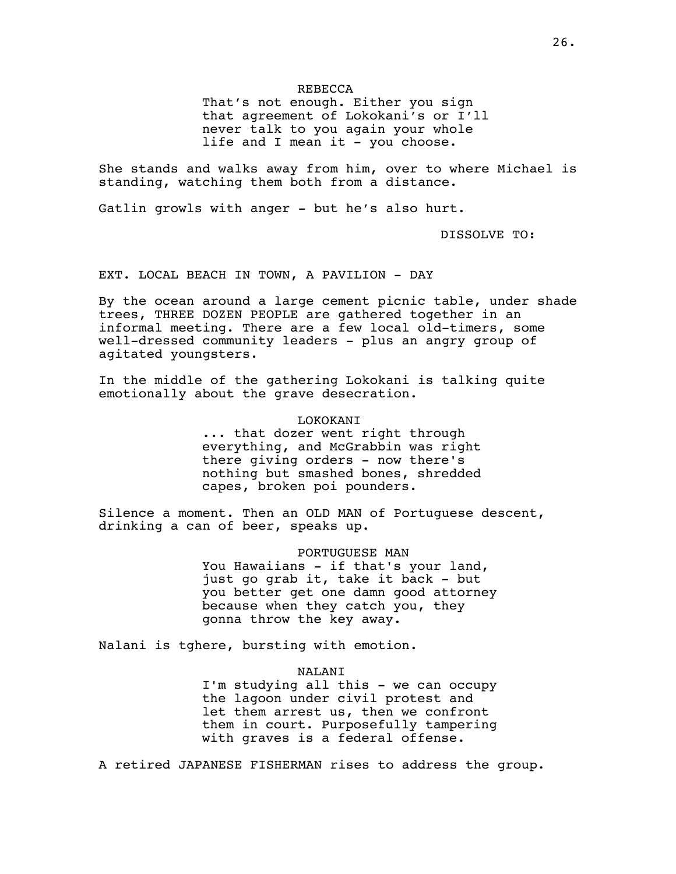# REBECCA

That's not enough. Either you sign that agreement of Lokokani's or I'll never talk to you again your whole life and I mean it - you choose.

She stands and walks away from him, over to where Michael is standing, watching them both from a distance.

Gatlin growls with anger - but he's also hurt.

DISSOLVE TO:

EXT. LOCAL BEACH IN TOWN, A PAVILION - DAY

By the ocean around a large cement picnic table, under shade trees, THREE DOZEN PEOPLE are gathered together in an informal meeting. There are a few local old-timers, some well-dressed community leaders - plus an angry group of agitated youngsters.

In the middle of the gathering Lokokani is talking quite emotionally about the grave desecration.

### LOKOKANI

... that dozer went right through everything, and McGrabbin was right there giving orders - now there's nothing but smashed bones, shredded capes, broken poi pounders.

Silence a moment. Then an OLD MAN of Portuguese descent, drinking a can of beer, speaks up.

> PORTUGUESE MAN You Hawaiians - if that's your land, just go grab it, take it back - but you better get one damn good attorney because when they catch you, they gonna throw the key away.

Nalani is tghere, bursting with emotion.

### NALANI

I'm studying all this - we can occupy the lagoon under civil protest and let them arrest us, then we confront them in court. Purposefully tampering with graves is a federal offense.

A retired JAPANESE FISHERMAN rises to address the group.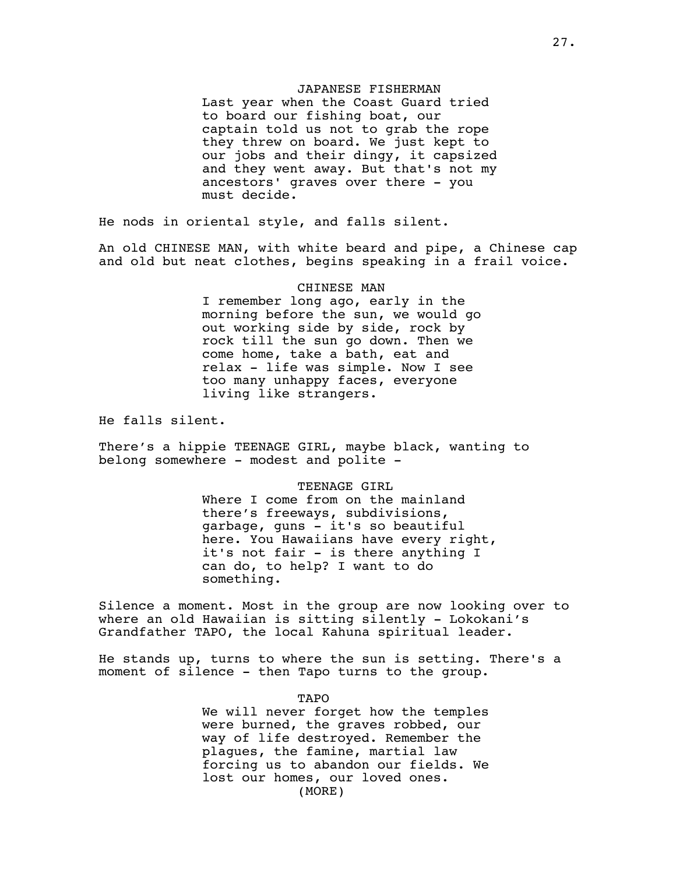### JAPANESE FISHERMAN

Last year when the Coast Guard tried to board our fishing boat, our captain told us not to grab the rope they threw on board. We just kept to our jobs and their dingy, it capsized and they went away. But that's not my ancestors' graves over there - you must decide.

He nods in oriental style, and falls silent.

An old CHINESE MAN, with white beard and pipe, a Chinese cap and old but neat clothes, begins speaking in a frail voice.

### CHINESE MAN

I remember long ago, early in the morning before the sun, we would go out working side by side, rock by rock till the sun go down. Then we come home, take a bath, eat and relax - life was simple. Now I see too many unhappy faces, everyone living like strangers.

He falls silent.

There's a hippie TEENAGE GIRL, maybe black, wanting to belong somewhere - modest and polite -

### TEENAGE GIRL

Where I come from on the mainland there's freeways, subdivisions, garbage, guns - it's so beautiful here. You Hawaiians have every right, it's not fair - is there anything I can do, to help? I want to do something.

Silence a moment. Most in the group are now looking over to where an old Hawaiian is sitting silently - Lokokani's Grandfather TAPO, the local Kahuna spiritual leader.

He stands up, turns to where the sun is setting. There's a moment of silence - then Tapo turns to the group.

> TAPO We will never forget how the temples were burned, the graves robbed, our way of life destroyed. Remember the plagues, the famine, martial law forcing us to abandon our fields. We lost our homes, our loved ones. (MORE)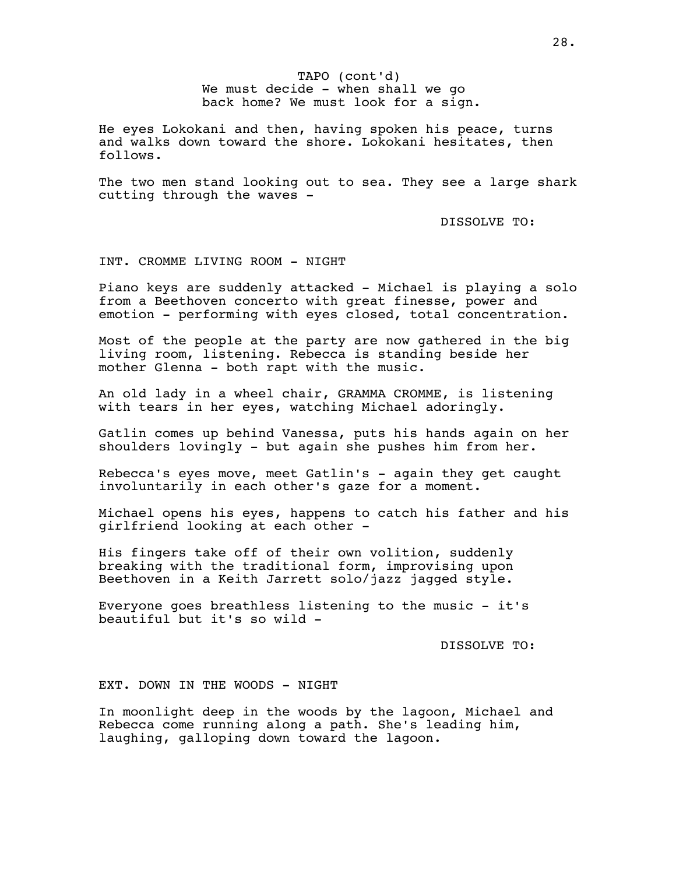We must decide - when shall we go TAPO (cont'd) back home? We must look for a sign.

He eyes Lokokani and then, having spoken his peace, turns and walks down toward the shore. Lokokani hesitates, then follows.

The two men stand looking out to sea. They see a large shark cutting through the waves -

DISSOLVE TO:

# INT. CROMME LIVING ROOM - NIGHT

Piano keys are suddenly attacked - Michael is playing a solo from a Beethoven concerto with great finesse, power and emotion - performing with eyes closed, total concentration.

Most of the people at the party are now gathered in the big living room, listening. Rebecca is standing beside her mother Glenna - both rapt with the music.

An old lady in a wheel chair, GRAMMA CROMME, is listening with tears in her eyes, watching Michael adoringly.

Gatlin comes up behind Vanessa, puts his hands again on her shoulders lovingly - but again she pushes him from her.

Rebecca's eyes move, meet Gatlin's - again they get caught involuntarily in each other's gaze for a moment.

Michael opens his eyes, happens to catch his father and his girlfriend looking at each other -

His fingers take off of their own volition, suddenly breaking with the traditional form, improvising upon Beethoven in a Keith Jarrett solo/jazz jagged style.

Everyone goes breathless listening to the music - it's beautiful but it's so wild -

DISSOLVE TO:

# EXT. DOWN IN THE WOODS - NIGHT

In moonlight deep in the woods by the lagoon, Michael and Rebecca come running along a path. She's leading him, laughing, galloping down toward the lagoon.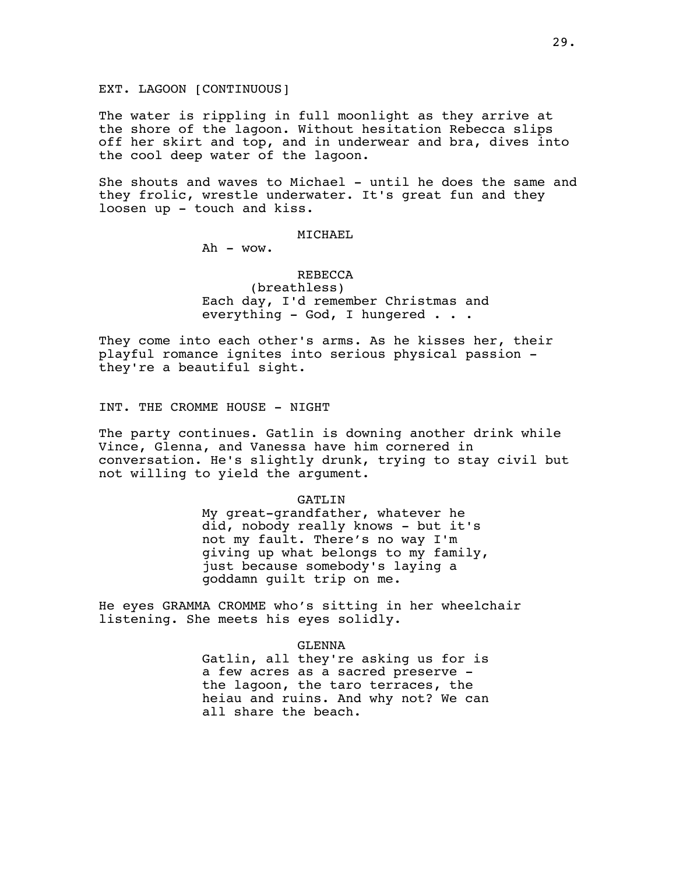EXT. LAGOON [CONTINUOUS]

The water is rippling in full moonlight as they arrive at the shore of the lagoon. Without hesitation Rebecca slips off her skirt and top, and in underwear and bra, dives into the cool deep water of the lagoon.

She shouts and waves to Michael - until he does the same and they frolic, wrestle underwater. It's great fun and they loosen up - touch and kiss.

# MICHAEL

Ah - wow.

# REBECCA

(breathless) Each day, I'd remember Christmas and everything - God, I hungered . . .

They come into each other's arms. As he kisses her, their playful romance ignites into serious physical passion they're a beautiful sight.

INT. THE CROMME HOUSE - NIGHT

The party continues. Gatlin is downing another drink while Vince, Glenna, and Vanessa have him cornered in conversation. He's slightly drunk, trying to stay civil but not willing to yield the argument.

#### GATLIN

My great-grandfather, whatever he did, nobody really knows - but it's not my fault. There's no way I'm giving up what belongs to my family, just because somebody's laying a goddamn guilt trip on me.

He eyes GRAMMA CROMME who's sitting in her wheelchair listening. She meets his eyes solidly.

GLENNA

Gatlin, all they're asking us for is a few acres as a sacred preserve the lagoon, the taro terraces, the heiau and ruins. And why not? We can all share the beach.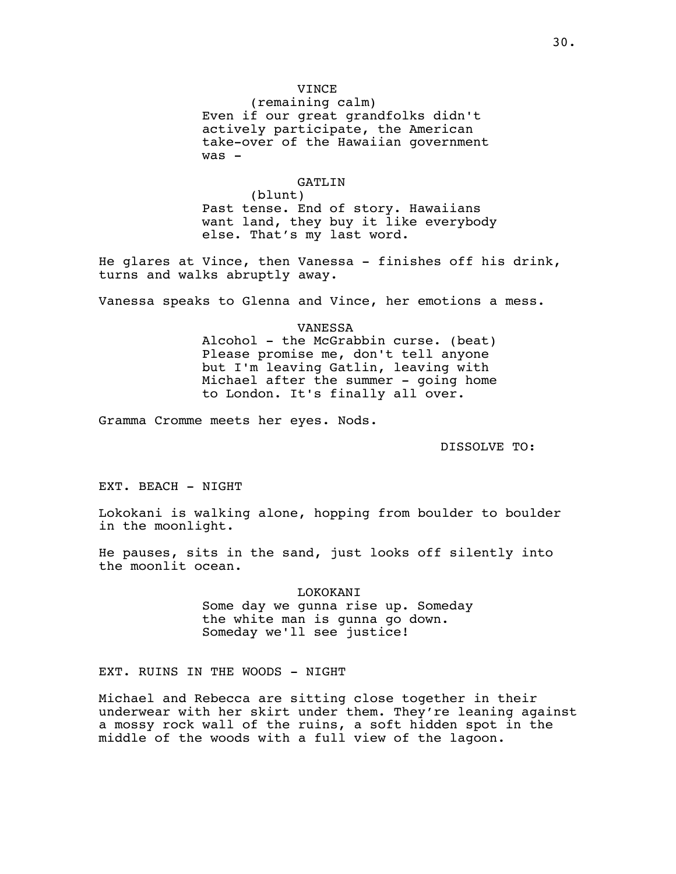# VINCE

(remaining calm) Even if our great grandfolks didn't actively participate, the American take-over of the Hawaiian government  $was -$ 

# GATLIN

(blunt) Past tense. End of story. Hawaiians want land, they buy it like everybody else. That's my last word.

He glares at Vince, then Vanessa - finishes off his drink, turns and walks abruptly away.

Vanessa speaks to Glenna and Vince, her emotions a mess.

VANESSA Alcohol - the McGrabbin curse. (beat) Please promise me, don't tell anyone but I'm leaving Gatlin, leaving with Michael after the summer - going home to London. It's finally all over.

Gramma Cromme meets her eyes. Nods.

DISSOLVE TO:

EXT. BEACH - NIGHT

Lokokani is walking alone, hopping from boulder to boulder in the moonlight.

He pauses, sits in the sand, just looks off silently into the moonlit ocean.

> LOKOKANI Some day we gunna rise up. Someday the white man is gunna go down. Someday we'll see justice!

EXT. RUINS IN THE WOODS - NIGHT

Michael and Rebecca are sitting close together in their underwear with her skirt under them. They're leaning against a mossy rock wall of the ruins, a soft hidden spot in the middle of the woods with a full view of the lagoon.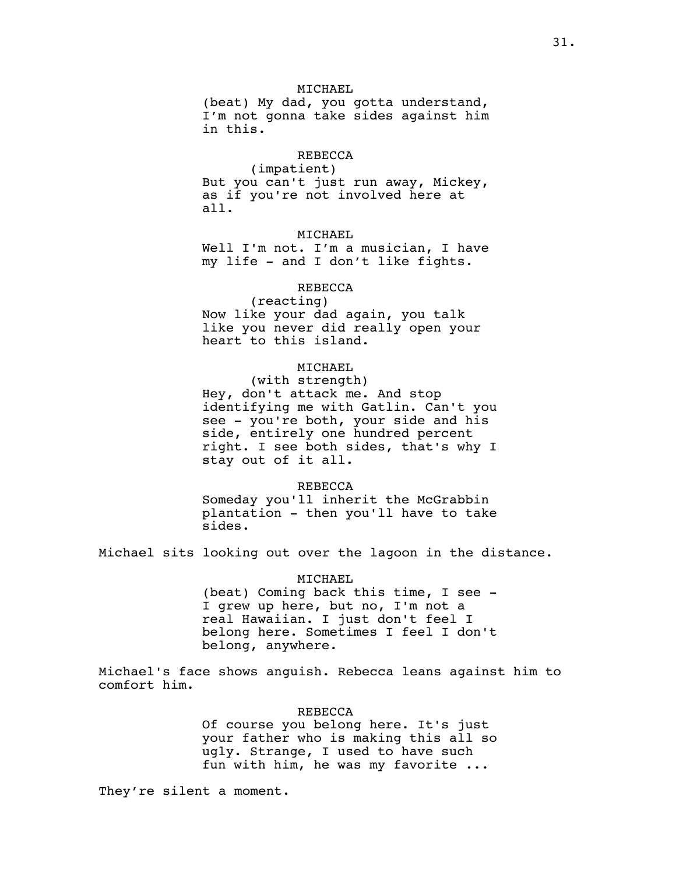# MICHAEL

(beat) My dad, you gotta understand, I'm not gonna take sides against him in this.

# REBECCA

(impatient) But you can't just run away, Mickey, as if you're not involved here at all.

# MICHAEL

Well I'm not. I'm a musician, I have my life - and I don't like fights.

#### REBECCA

(reacting) Now like your dad again, you talk like you never did really open your heart to this island.

# MICHAEL

(with strength) Hey, don't attack me. And stop identifying me with Gatlin. Can't you see - you're both, your side and his side, entirely one hundred percent right. I see both sides, that's why I stay out of it all.

#### REBECCA

Someday you'll inherit the McGrabbin plantation - then you'll have to take sides.

Michael sits looking out over the lagoon in the distance.

#### MICHAEL

(beat) Coming back this time, I see - I grew up here, but no, I'm not a real Hawaiian. I just don't feel I belong here. Sometimes I feel I don't belong, anywhere.

Michael's face shows anguish. Rebecca leans against him to comfort him.

### REBECCA

Of course you belong here. It's just your father who is making this all so ugly. Strange, I used to have such fun with him, he was my favorite ...

They're silent a moment.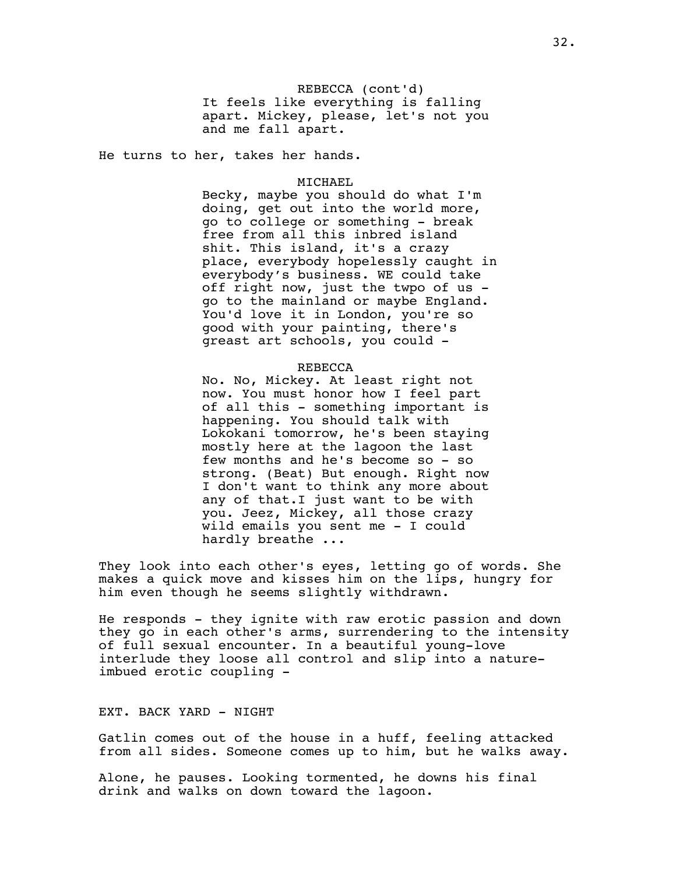REBECCA (cont'd) It feels like everything is falling apart. Mickey, please, let's not you and me fall apart.

He turns to her, takes her hands.

#### MICHAEL

Becky, maybe you should do what I'm doing, get out into the world more, go to college or something - break free from all this inbred island shit. This island, it's a crazy place, everybody hopelessly caught in everybody's business. WE could take off right now, just the twpo of us go to the mainland or maybe England. You'd love it in London, you're so good with your painting, there's greast art schools, you could -

#### REBECCA

No. No, Mickey. At least right not now. You must honor how I feel part of all this - something important is happening. You should talk with Lokokani tomorrow, he's been staying mostly here at the lagoon the last few months and he's become so - so strong. (Beat) But enough. Right now I don't want to think any more about any of that.I just want to be with you. Jeez, Mickey, all those crazy wild emails you sent me - I could hardly breathe ...

They look into each other's eyes, letting go of words. She makes a quick move and kisses him on the lips, hungry for him even though he seems slightly withdrawn.

He responds - they ignite with raw erotic passion and down they go in each other's arms, surrendering to the intensity of full sexual encounter. In a beautiful young-love interlude they loose all control and slip into a natureimbued erotic coupling -

# EXT. BACK YARD - NIGHT

Gatlin comes out of the house in a huff, feeling attacked from all sides. Someone comes up to him, but he walks away.

Alone, he pauses. Looking tormented, he downs his final drink and walks on down toward the lagoon.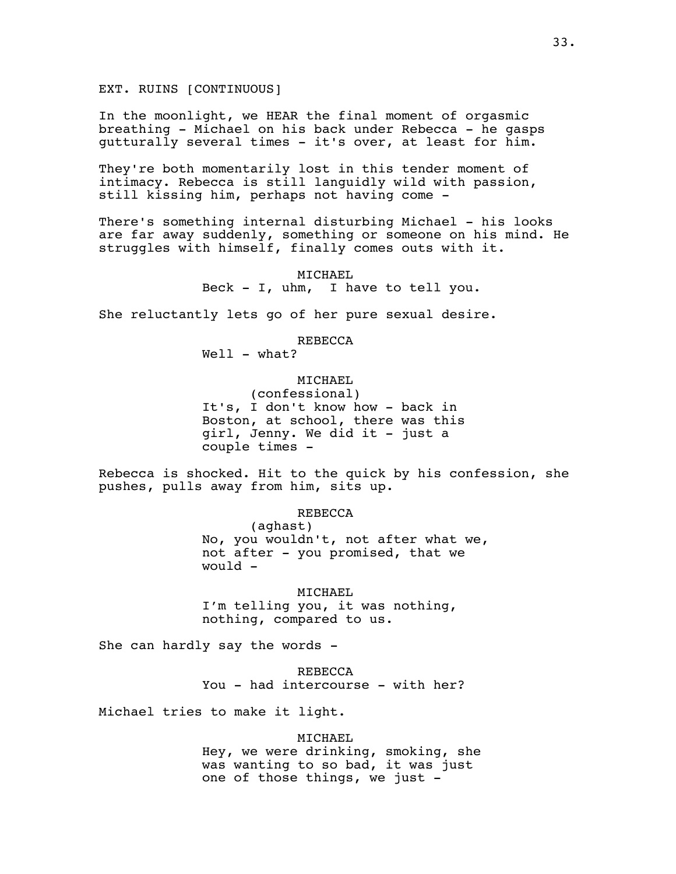EXT. RUINS [CONTINUOUS]

In the moonlight, we HEAR the final moment of orgasmic breathing - Michael on his back under Rebecca - he gasps gutturally several times - it's over, at least for him.

They're both momentarily lost in this tender moment of intimacy. Rebecca is still languidly wild with passion, still kissing him, perhaps not having come -

There's something internal disturbing Michael - his looks are far away suddenly, something or someone on his mind. He struggles with himself, finally comes outs with it.

> MICHAEL Beck - I, uhm, I have to tell you.

She reluctantly lets go of her pure sexual desire.

REBECCA

Well - what?

# MICHAEL

(confessional) It's, I don't know how - back in Boston, at school, there was this girl, Jenny. We did it - just a couple times -

Rebecca is shocked. Hit to the quick by his confession, she pushes, pulls away from him, sits up.

REBECCA

(aghast) No, you wouldn't, not after what we, not after - you promised, that we would -

MICHAEL I'm telling you, it was nothing, nothing, compared to us.

She can hardly say the words -

REBECCA You - had intercourse - with her?

Michael tries to make it light.

MICHAEL

Hey, we were drinking, smoking, she was wanting to so bad, it was just one of those things, we just -